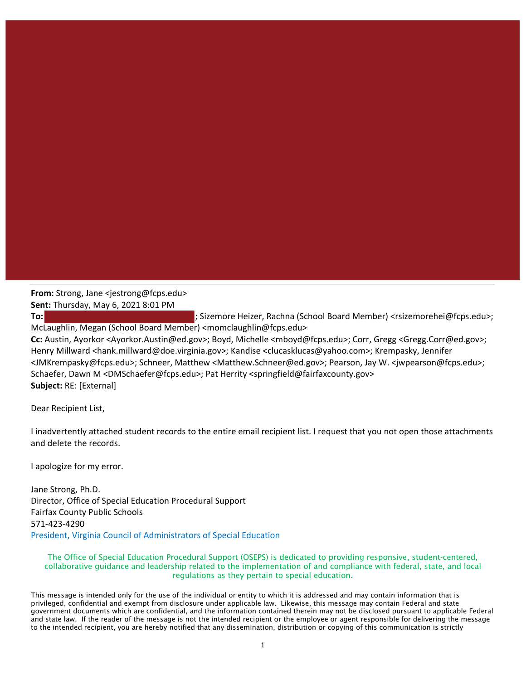## **From:** Strong, Jane <jestrong@fcps.edu> **Sent:** Thursday, May 6, 2021 8:01 PM

**To:** ; Sizemore Heizer, Rachna (School Board Member) <rsizemorehei@fcps.edu>; McLaughlin, Megan (School Board Member) <momclaughlin@fcps.edu> **Cc:** Austin, Ayorkor <Ayorkor.Austin@ed.gov>; Boyd, Michelle <mboyd@fcps.edu>; Corr, Gregg <Gregg.Corr@ed.gov>; Henry Millward <hank.millward@doe.virginia.gov>; Kandise <clucasklucas@yahoo.com>; Krempasky, Jennifer <JMKrempasky@fcps.edu>; Schneer, Matthew <Matthew.Schneer@ed.gov>; Pearson, Jay W. <jwpearson@fcps.edu>; Schaefer, Dawn M <DMSchaefer@fcps.edu>; Pat Herrity <springfield@fairfaxcounty.gov> **Subject:** RE: [External]

Dear Recipient List,

I inadvertently attached student records to the entire email recipient list. I request that you not open those attachments and delete the records.

I apologize for my error.

Jane Strong, Ph.D. Director, Office of Special Education Procedural Support Fairfax County Public Schools 571‐423‐4290 President, Virginia Council of Administrators of Special Education

## The Office of Special Education Procedural Support (OSEPS) is dedicated to providing responsive, student-centered, collaborative guidance and leadership related to the implementation of and compliance with federal, state, and local regulations as they pertain to special education.

This message is intended only for the use of the individual or entity to which it is addressed and may contain information that is privileged, confidential and exempt from disclosure under applicable law. Likewise, this message may contain Federal and state government documents which are confidential, and the information contained therein may not be disclosed pursuant to applicable Federal and state law. If the reader of the message is not the intended recipient or the employee or agent responsible for delivering the message to the intended recipient, you are hereby notified that any dissemination, distribution or copying of this communication is strictly